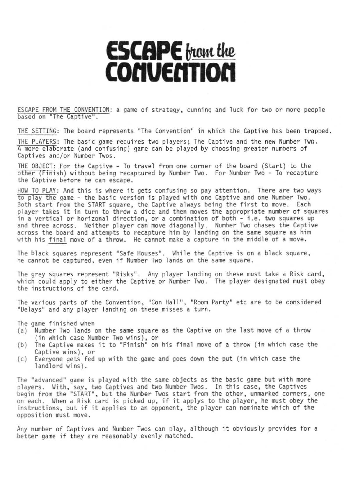## **ESCAPE** trian the **COnUEnTIOn**

ESCAPE FROM THE CONVENTION: a game of strategy, cunning and luck for two or more people based on "The Captive".

THE SETTING: The board represents "The Convention" in which the Captive has been trapped.

THE PLAYERS: The basic game requires two players; The Captive and the new Number Two. A more elaborate (and confusing) game can be played by choosing greater numbers of Captives and/or Number Twos.

THE OBJECT: For the Captive - To travel from one corner of the board (Start) to the other (Finish) without being recaptured by Number Two. For Number Two - To recapture the Captive before he can escape.

HOW TO PLAY: And this is where it gets confusing so pay attention. There are two ways to play the game - the basic version is played with one Captive and one Number Two. Both start from the START square, the Captive always being the first to move. Each player takes it in turn to throw a dice and then moves the appropriate number of squares in a vertical or horizonal direction, or a combination of both - i.e. two squares up and three across. Neither player can move diagonally. Number Two chases the Captive across the board and attemrts to recapture him by landing on the same square as him with his final move of a throw. He cannot make a capture in the middle of a move.

The black squares represent "Safe Houses". While the Captive is on a black square, he cannot be captured, even if Number Two lands on the same square.

The grey squares represent "Risks". Any player landing on these must take a Risk card, which could apply to either the Captive or Number Two. The player designated must obey the instructions of the card.

The various parts of the Convention, "Con Hall", "Room Party" etc are to be considered "Delays" and any player landing on these misses a turn.

The game finished when

- (a) Number Two lands on the same square as the Captive on the last move of a throw (in which case Number Two wins), or
- (b) The Captive makes it to "Finish" on his final move of <sup>a</sup> throw (in which case the Captive wins), or
- $(c)$  Everyone gets fed up with the game and goes down the put (in which case the landlord wins).

The "advanced" game is played with the same objects as the basic game but with more players. With, say, two Captives and two Number Twos. In this case, the Captives begin from the "START", but the Number Twos start from the other, unmarked corners, one on each. When <sup>a</sup> Risk card is picked up, if it applys to the player, he must obey the instructions, but if it applies to an opponent, the player can nominate which of the opposition must move.

Any number of Captives and Number Twos can play, although it obviously provides for <sup>a</sup> better game if they are reasonably evenly matched.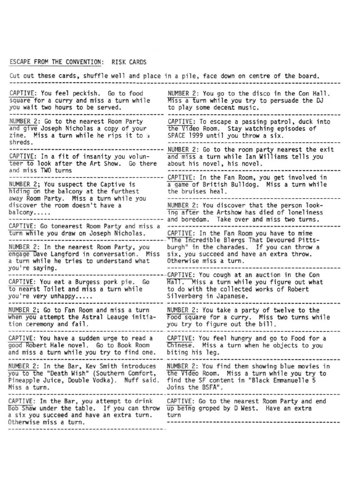## ESCAPE FROM THE CONVENTION: RISK CARDS

Cut out these cards? shuffl e well and place ina pi 1e. face down on centre of the board. CAPTIVE: You feel peckish. Go to food<br>square for a curry and miss a turn while square for <sup>a</sup> curry and miss <sup>a</sup> turn while you wait two hours to be served. NUMBER 2: You go to the disco in the Con Hall. Miss a turn while you try to persuade the DJ to play some decent musi c. NUMBER 2: Go to the nearest Room Party CAPTIVE: To escape a passing patrol, duck into<br>and give Joseph Nicholas a copy of your the Video Room. Stay watching episodes of zine. Miss a turn while he rips it to .<br>The Miss a turn while he rips it to ... SPACE 1999 until you throw a six. shreds. - --------------------------------.--------------- -------------------------------------------- NUfoffiER 2: Go to the room party nearest the exit CAPTIVE: In a fit of insanity you volun-  $\overline{and}$  miss a turn while Ian William is the Art Show. Go there about his novel, his novel. tee!'" to look after the Art Show. Go there about his novel, his novel. and miss TWO turns ------------------------------------------------- -------------------------------------------- CAPTIVE: In the Fan Room, you get involved in a game of British Bulldog. Miss a turn while<br>the bruises heal. hiding on the balcony at the furthest the bruises heal.<br>away Room Party. Miss a turn while you -----------------away Room Party. Miss <sup>a</sup> turn while you ------------------------------------------------- discover the room doesn't have <sup>a</sup> NUMBER 2: You d1scover that the person lookbalcony..... 1ng after the Artshow has died of loneliness -------------------------------------------- and boredom. Take over and miss two turns. CAPTIVE: Go tonearest Room Party and miss <sup>a</sup> ------------------------------------------------ turn While you draw on Joseph Nicholas. CAPTIVE: In the Fan Room you have to mime "The Incredible Blergs That Devoured Pitts-<br>burgh" in the charades. If you can throw a NUMBER 2: In the nearest Room Party, you burgh" in the charades. If you can throw.<br>engage Dave Langford in conversation. Miss six, you succeed and have an extra throw. engage Dave Langford in conversation. Miss six, you succeed and have an extra throw.<br>a turn while he tries to understand what Otherwise miss a turn. a turn while he tries to understand what Otherwise miss a turn. you're sayi ng. ----.-------------------------------------------- ---------------------------------------------GAPTIVE: You cough at an auction in the Con  $\frac{\text{CAPTIVE: }}{\text{to nearest}}$  You eat a Burgess pork pie. Go  $\frac{1}{\text{Hall}}$ . Miss a turn while you figure out what to nearst Toilet and miss a turn while to do with the collected works of Robert to do with the collected works of Robert<br>Silverberg in Japanese. you're very unhappy..... Silverberg in Japanese. NUMBER 2; Go to Fan Room and miss a turn when you attempt the Astral Leauge initiation ceremony and fail. CAPTIVE: You have a sudden urge to read a good Robert Hale novel. Go to Book Room and mi ss a turn whi 1e you try to fi nd one. NUMBER 2: You take a party of twelve to the Food square for a curry. Miss two turns while you try to figure out the bill. CAPTIVE: You feel hungry and go to Food for a<br>Chinese. Miss a turn when he objects to you biting his leg. NUMBER 2: In the Bar, Kev Smith introduces MUMBER 2: You find them showing blue movies in<br>you to the "Death Wish" (Southern Comfort, the Video Room. Miss a turn while you try to you to the "Death Wish" (Southern Comfort, the Video Room. Miss a turn while you try the and the "Diate" of th<br>Pineapple Juice, Double Vodka). Nuff said, find the SF content in "Black Emmanuelle 5 Pineapple Juice, Double Vodka). Nuff said.<br>Miss a turn. Miss a turn. Joins the BSFA". CAPTIVE: In the Bar. you attempt to drink CAPTIVE: Go to the nearest Room Party and end CAPTIVE: In the Bar, you attempt to drink . CAPTIVE: Go to the nearest Room Party and<br>Bob Shaw under the table. If you can throw up being groped by D West. Have an extra<br>a six you succeed and have an extra turn. . turn Otherwise miss a turn. -------.\_----.-----------------------------------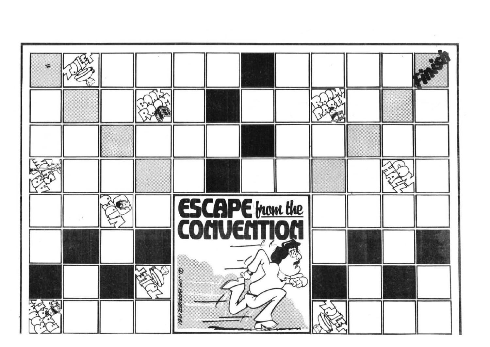